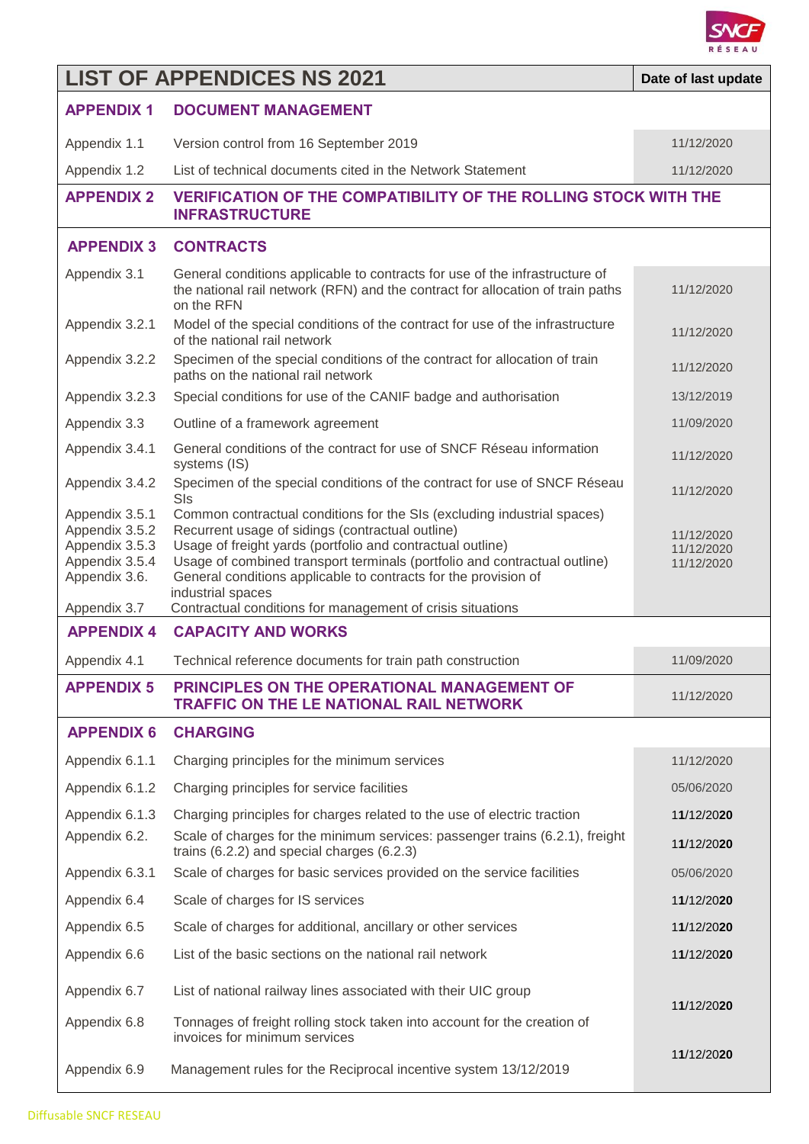

## **LIST OF APPENDICES NS 2021 Date of last update APPENDIX 1 DOCUMENT MANAGEMENT** Appendix 1.1 Version control from 16 September 2019 11/12/2020 11/12/2020 Appendix 1.2 List of technical documents cited in the Network Statement 11/12/2020 **APPENDIX 2 VERIFICATION OF THE COMPATIBILITY OF THE ROLLING STOCK WITH THE INFRASTRUCTURE APPENDIX 3 CONTRACTS** Appendix 3.1 General conditions applicable to contracts for use of the infrastructure of the national rail network (RFN) and the contract for allocation of train paths on the RFN 11/12/2020 Appendix 3.2.1 Model of the special conditions of the contract for use of the infrastructure of the national rail network<br>of the national rail network Appendix 3.2.2 Specimen of the special conditions of the contract for allocation of train Specimen of the special conditions of the contract for allocation of train<br>paths on the national rail network Appendix 3.2.3 Special conditions for use of the CANIF badge and authorisation 13/12/2019 Appendix 3.3 Outline of a framework agreement 11/09/2020 11/09/2020 Appendix 3.4.1 General conditions of the contract for use of SNCF Réseau information systems (IS) 11/12/2020 Appendix 3.4.2 Specimen of the special conditions of the contract for use of SNCF Réseau <br>SIs 11/12/2020 Appendix 3.5.1 Common contractual conditions for the SIs (excluding industrial spaces) Appendix 3.5.2 Recurrent usage of sidings (contractual outline) Appendix 3.5.3 Usage of freight yards (portfolio and contractual outline) Appendix 3.5.4 Usage of combined transport terminals (portfolio and contractual outline) Appendix 3.6. General conditions applicable to contracts for the provision of industrial spaces Appendix 3.7 Contractual conditions for management of crisis situations 11/12/2020 11/12/2020 11/12/2020 **APPENDIX 4 CAPACITY AND WORKS** Appendix 4.1 Technical reference documents for train path construction 11/09/2020 **APPENDIX 5 PRINCIPLES ON THE OPERATIONAL MANAGEMENT OF TRAFFIC ON THE LE NATIONAL RAIL NETWORK** 11/12/2020 **APPENDIX 6 CHARGING** Appendix 6.1.1 Charging principles for the minimum services 11/12/2020 11/12/2020 Appendix 6.1.2 Charging principles for service facilities 05/06/2020 05/06/2020 Appendix 6.1.3 Charging principles for charges related to the use of electric traction 1**1**/12/20**20** Appendix 6.2. Scale of charges for the minimum services: passenger trains (6.2.1), freight trains (6.2.2) and special charges (6.2.3) <sup>1</sup>**1**/12/20**<sup>20</sup>** Appendix 6.3.1 Scale of charges for basic services provided on the service facilities 05/06/2020 Appendix 6.4 Scale of charges for IS services 1**1**/12/20**20** Appendix 6.5 Scale of charges for additional, ancillary or other services 1**1**/12/20**20** Appendix 6.6 List of the basic sections on the national rail network 1**1**/12/20**20** Appendix 6.7 List of national railway lines associated with their UIC group Appendix 6.8 Tonnages of freight rolling stock taken into account for the creation of invoices for minimum services Appendix 6.9 Management rules for the Reciprocal incentive system 13/12/2019 1**1**/12/20**20** 1**1**/12/20**20**